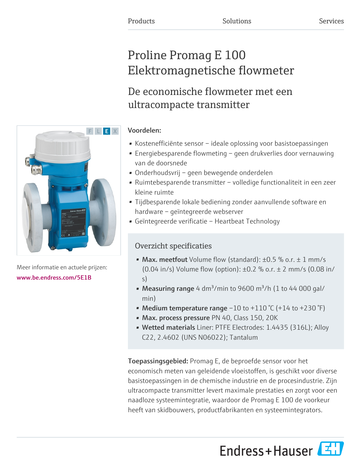# Proline Promag E 100 Elektromagnetische flowmeter

# De economische flowmeter met een ultracompacte transmitter

### Voordelen:

- Kostenefficiënte sensor ideale oplossing voor basistoepassingen
- Energiebesparende flowmeting geen drukverlies door vernauwing van de doorsnede
- Onderhoudsvrij geen bewegende onderdelen
- Ruimtebesparende transmitter volledige functionaliteit in een zeer kleine ruimte
- Tijdbesparende lokale bediening zonder aanvullende software en hardware – geïntegreerde webserver
- Geïntegreerde verificatie Heartbeat Technology

## Overzicht specificaties

- Max. meetfout Volume flow (standard):  $\pm 0.5$  % o.r.  $\pm$  1 mm/s (0.04 in/s) Volume flow (option):  $\pm$ 0.2 % o.r.  $\pm$  2 mm/s (0.08 in/ s)
- Measuring range 4 dm<sup>3</sup>/min to 9600 m<sup>3</sup>/h (1 to 44 000 gal/ min)
- Medium temperature range  $-10$  to  $+110$  °C ( $+14$  to  $+230$  °F)
- Max. process pressure PN 40, Class 150, 20K
- Wetted materials Liner: PTFE Electrodes: 1.4435 (316L); Alloy C22, 2.4602 (UNS N06022); Tantalum

Toepassingsgebied: Promag E, de beproefde sensor voor het economisch meten van geleidende vloeistoffen, is geschikt voor diverse basistoepassingen in de chemische industrie en de procesindustrie. Zijn ultracompacte transmitter levert maximale prestaties en zorgt voor een naadloze systeemintegratie, waardoor de Promag E 100 de voorkeur heeft van skidbouwers, productfabrikanten en systeemintegrators.

Endress+Hauser



Meer informatie en actuele prijzen: [www.be.endress.com/5E1B](https://www.be.endress.com/5E1B)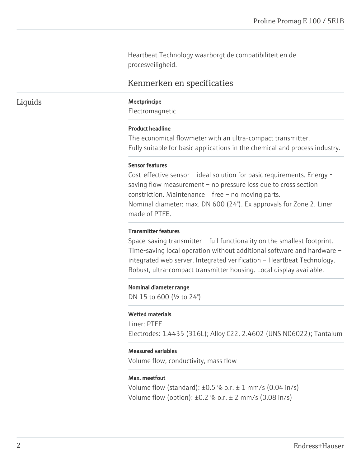Heartbeat Technology waarborgt de compatibiliteit en de procesveiligheid.

### Kenmerken en specificaties

#### Liquids Meetprincipe

Electromagnetic

#### Product headline

The economical flowmeter with an ultra-compact transmitter. Fully suitable for basic applications in the chemical and process industry.

#### Sensor features

Cost-effective sensor – ideal solution for basic requirements. Energy‐ saving flow measurement – no pressure loss due to cross section constriction. Maintenance - free – no moving parts. Nominal diameter: max. DN 600 (24"). Ex approvals for Zone 2. Liner made of PTFE.

#### Transmitter features

Space-saving transmitter – full functionality on the smallest footprint. Time-saving local operation without additional software and hardware – integrated web server. Integrated verification – Heartbeat Technology. Robust, ultra-compact transmitter housing. Local display available.

#### Nominal diameter range

DN 15 to 600 (½ to 24")

#### Wetted materials

Liner: PTFE Electrodes: 1.4435 (316L); Alloy C22, 2.4602 (UNS N06022); Tantalum

#### Measured variables

Volume flow, conductivity, mass flow

#### Max. meetfout

Volume flow (standard):  $\pm 0.5$  % o.r.  $\pm$  1 mm/s (0.04 in/s) Volume flow (option):  $\pm 0.2$  % o.r.  $\pm$  2 mm/s (0.08 in/s)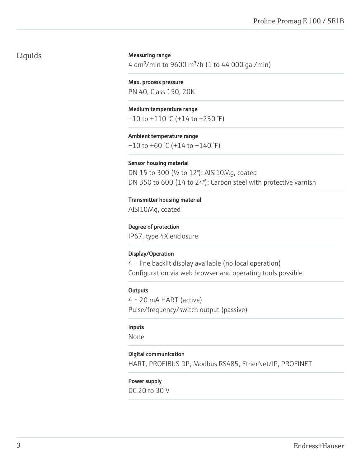### Liquids

#### Measuring range

4 dm<sup>3</sup>/min to 9600 m<sup>3</sup>/h (1 to 44 000 gal/min)

Max. process pressure PN 40, Class 150, 20K

Medium temperature range  $-10$  to  $+110$  °C ( $+14$  to  $+230$  °F)

Ambient temperature range  $-10$  to  $+60$  °C ( $+14$  to  $+140$  °F)

#### Sensor housing material

DN 15 to 300 (½ to 12"): AlSi10Mg, coated DN 350 to 600 (14 to 24"): Carbon steel with protective varnish

Transmitter housing material AlSi10Mg, coated

#### Degree of protection

IP67, type 4X enclosure

#### Display/Operation

4‐line backlit display available (no local operation) Configuration via web browser and operating tools possible

#### **Outputs**

4‐20 mA HART (active) Pulse/frequency/switch output (passive)

#### Inputs

None

#### Digital communication

HART, PROFIBUS DP, Modbus RS485, EtherNet/IP, PROFINET

#### Power supply

DC 20 to 30 V